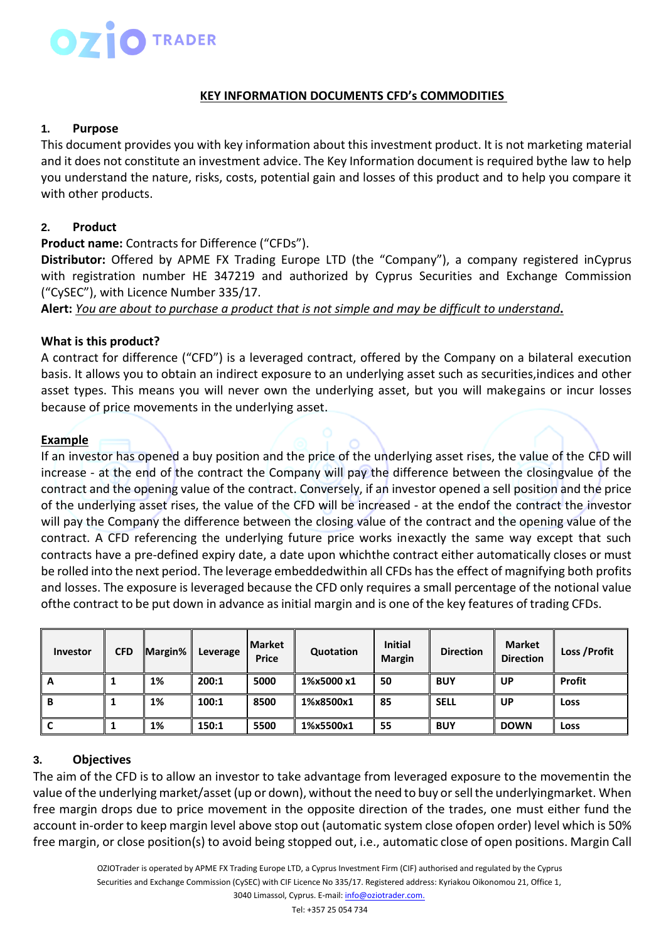#### **KEY INFORMATION DOCUMENTS CFD's COMMODITIES**

#### **1. Purpose**

This document provides you with key information about this investment product. It is not marketing material and it does not constitute an investment advice. The Key Information document is required bythe law to help you understand the nature, risks, costs, potential gain and losses of this product and to help you compare it with other products.

#### **2. Product**

**Product name:** Contracts for Difference ("CFDs").

**Distributor:** Offered by APME FX Trading Europe LTD (the "Company"), a company registered inCyprus with registration number HE 347219 and authorized by Cyprus Securities and Exchange Commission ("CySEC"), with Licence Number 335/17.

Alert: You are about to purchase a product that is not simple and may be difficult to understand.

#### **What is this product?**

A contract for difference ("CFD") is a leveraged contract, offered by the Company on a bilateral execution basis. It allows you to obtain an indirect exposure to an underlying asset such as securities,indices and other asset types. This means you will never own the underlying asset, but you will makegains or incur losses because of price movements in the underlying asset.

#### **Example**

If an investor has opened a buy position and the price of the underlying asset rises, the value of the CFD will increase - at the end of the contract the Company will pay the difference between the closingvalue of the contract and the opening value of the contract. Conversely, if an investor opened a sell position and the price of the underlying asset rises, the value of the CFD will be increased - at the endof the contract the investor will pay the Company the difference between the closing value of the contract and the opening value of the contract. A CFD referencing the underlying future price works inexactly the same way except that such contracts have a pre-defined expiry date, a date upon whichthe contract either automatically closes or must be rolled into the next period. The leverage embeddedwithin all CFDs hasthe effect of magnifying both profits and losses. The exposure is leveraged because the CFD only requires a small percentage of the notional value ofthe contract to be put down in advance as initial margin and is one of the key features of trading CFDs.

| Investor | <b>CFD</b> | Margin% | Leverage | <b>I</b> Market<br><b>Price</b> | Quotation  | <b>Initial</b><br><b>Margin</b> | <b>Direction</b> | <b>Market</b><br><b>Direction</b> | Loss / Profit |
|----------|------------|---------|----------|---------------------------------|------------|---------------------------------|------------------|-----------------------------------|---------------|
| A        |            | 1%      | 200:1    | 5000                            | 1%x5000 x1 | 50                              | <b>BUY</b>       | <b>UP</b>                         | <b>Profit</b> |
| B        |            | 1%      | 100:1    | 8500                            | 1%x8500x1  | 85                              | <b>SELL</b>      | <b>UP</b>                         | Loss          |
| J        |            | 1%      | 150:1    | 5500                            | 1%x5500x1  | 55                              | <b>BUY</b>       | <b>DOWN</b>                       | Loss          |

## **3. Objectives**

The aim of the CFD is to allow an investor to take advantage from leveraged exposure to the movementin the value of the underlying market/asset (up or down), without the need to buy or sell the underlyingmarket. When free margin drops due to price movement in the opposite direction of the trades, one must either fund the account in-order to keep margin level above stop out (automatic system close ofopen order) level which is 50% free margin, or close position(s) to avoid being stopped out, i.e., automatic close of open positions. Margin Call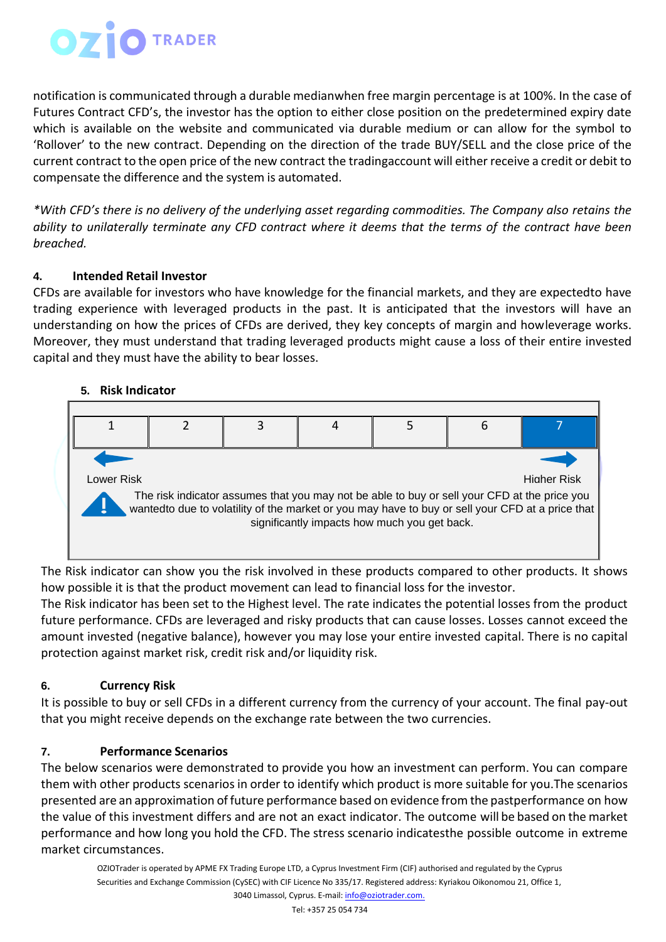# **OZIOTRADER**

notification is communicated through a durable medianwhen free margin percentage is at 100%. In the case of Futures Contract CFD's, the investor has the option to either close position on the predetermined expiry date which is available on the website and communicated via durable medium or can allow for the symbol to 'Rollover' to the new contract. Depending on the direction of the trade BUY/SELL and the close price of the current contract to the open price of the new contract the tradingaccount will either receive a credit or debit to compensate the difference and the system is automated.

*\*With CFD's there is no delivery of the underlying asset regarding commodities. The Company also retains the ability to unilaterally terminate any CFD contract where it deems that the terms of the contract have been breached.*

# **4. Intended Retail Investor**

CFDs are available for investors who have knowledge for the financial markets, and they are expectedto have trading experience with leveraged products in the past. It is anticipated that the investors will have an understanding on how the prices of CFDs are derived, they key concepts of margin and howleverage works. Moreover, they must understand that trading leveraged products might cause a loss of their entire invested capital and they must have the ability to bear losses.

# **5. Risk Indicator**



The Risk indicator can show you the risk involved in these products compared to other products. It shows how possible it is that the product movement can lead to financial loss for the investor.

The Risk indicator has been set to the Highest level. The rate indicates the potential losses from the product future performance. CFDs are leveraged and risky products that can cause losses. Losses cannot exceed the amount invested (negative balance), however you may lose your entire invested capital. There is no capital protection against market risk, credit risk and/or liquidity risk.

# **6. Currency Risk**

It is possible to buy or sell CFDs in a different currency from the currency of your account. The final pay-out that you might receive depends on the exchange rate between the two currencies.

# **7. Performance Scenarios**

The below scenarios were demonstrated to provide you how an investment can perform. You can compare them with other products scenarios in order to identify which product is more suitable for you.The scenarios presented are an approximation of future performance based on evidence from the pastperformance on how the value of this investment differs and are not an exact indicator. The outcome will be based on the market performance and how long you hold the CFD. The stress scenario indicatesthe possible outcome in extreme market circumstances.